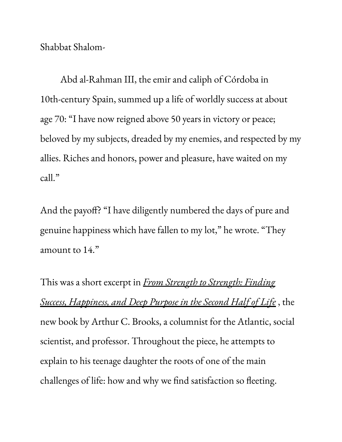Shabbat Shalom-

Abd al-Rahman III, the emir and caliph of Córdoba in 10th-century Spain, summed up a life of worldly success at about age 70: "I have now reigned above 50 years in victory or peace; beloved by my subjects, dreaded by my enemies, and respected by my allies. Riches and honors, power and pleasure, have waited on my call."

And the payoff? "I have diligently numbered the days of pure and genuine happiness which have fallen to my lot, " he wrote. "They amount to 14."

This was a short excerpt in *From Strength to [Strength:](http://www.penguinrandomhouse.com/books/646134/from-strength-to-strength-by-arthur-c-brooks/) Finding Success, [Happiness,](http://www.penguinrandomhouse.com/books/646134/from-strength-to-strength-by-arthur-c-brooks/) and Deep Purpose in the Second Half of Life* , the new book by Arthur C. Brooks, a columnist for the Atlantic, social scientist, and professor. Throughout the piece, he attempts to explain to his teenage daughter the roots of one of the main challenges of life: how and why we find satisfaction so fleeting.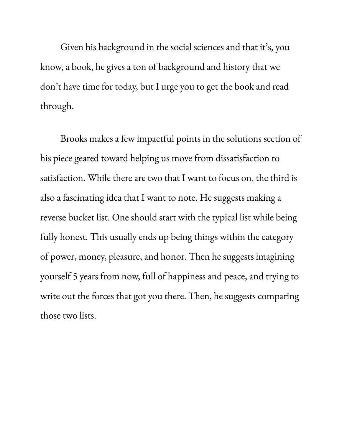Given his background in the social sciences and that it' s, you know, a book, he gives a ton of background and history that we don't have time for today, but I urge you to get the book and read through.

Brooks makes a few impactful points in the solutions section of his piece geared toward helping us move from dissatisfaction to satisfaction. While there are two that I want to focus on, the third is also a fascinating idea that I want to note. He suggests making a reverse bucket list. One should start with the typical list while being fully honest. This usually ends up being things within the category of power, money, pleasure, and honor. Then he suggests imagining yourself 5 years from now, full of happiness and peace, and trying to write out the forces that got you there. Then, he suggests comparing those two lists.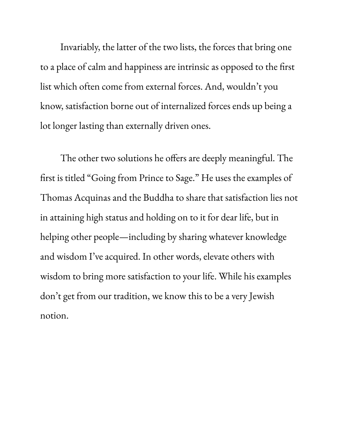Invariably, the latter of the two lists, the forces that bring one to a place of calm and happiness are intrinsic as opposed to the first list which often come from external forces. And, wouldn't you know, satisfaction borne out of internalized forces ends up being a lot longer lasting than externally driven ones.

The other two solutions he offers are deeply meaningful. The first is titled "Going from Prince to Sage." He uses the examples of Thomas Acquinas and the Buddha to share that satisfaction lies not in attaining high status and holding on to it for dear life, but in helping other people—including by sharing whatever knowledge and wisdom I' ve acquired. In other words, elevate others with wisdom to bring more satisfaction to your life. While his examples don't get from our tradition, we know this to be a very Jewish notion.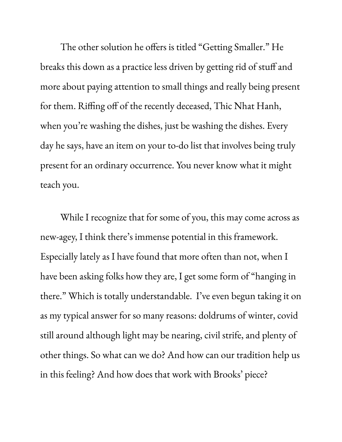The other solution he offers is titled "Getting Smaller." He breaks this down as a practice less driven by getting rid of stuff and more about paying attention to small things and really being present for them. Riffing off of the recently deceased, Thic Nhat Hanh, when you 're washing the dishes, just be washing the dishes. Every day he says, have an item on your to-do list that involves being truly present for an ordinary occurrence. You never know what it might teach you.

While I recognize that for some of you, this may come across as new-agey, I think there ' s immense potential in this framework. Especially lately as I have found that more often than not, when I have been asking folks how they are, I get some form of "hanging in there." Which is totally understandable. I' ve even begun taking it on as my typical answer for so many reasons: doldrums of winter, covid still around although light may be nearing, civil strife, and plenty of other things. So what can we do? And how can our tradition help us in this feeling? And how does that work with Brooks ' piece?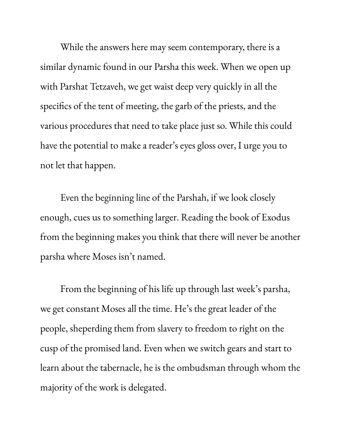While the answers here may seem contemporary, there is a similar dynamic found in our Parsha this week. When we open up with Parshat Tetzaveh, we get waist deep very quickly in all the specifics of the tent of meeting, the garb of the priests, and the various procedures that need to take place just so. While this could have the potential to make a reader' s eyes gloss over, I urge you to not let that happen.

Even the beginning line of the Parshah, if we look closely enough, cues us to something larger. Reading the book of Exodus from the beginning makes you think that there will never be another parsha where Moses isn't named.

From the beginning of his life up through last week' s parsha, we get constant Moses all the time. He ' s the great leader of the people, sheperding them from slavery to freedom to right on the cusp of the promised land. Even when we switch gears and start to learn about the tabernacle, he is the ombudsman through whom the majority of the work is delegated.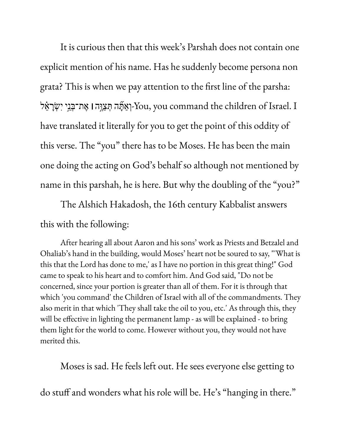It is curious then that this week' s Parshah does not contain one explicit mention of his name. Has he suddenly become persona non grata? This is when we pay attention to the first line of the parsha: I .Israel of children the command you ,You- ְו ַאָּ֞תה ְּת ַצֶּ֣וה**׀** ֶאת־ ְּבֵ֣ני יִ ְׂשָר ֵ֗אל have translated it literally for you to get the point of this oddity of this verse. The "you" there has to be Moses. He has been the main one doing the acting on God' s behalf so although not mentioned by name in this parshah, he is here. But why the doubling of the "you?"

The Alshich Hakadosh, the 16th century Kabbalist answers this with the following:

After hearing all about Aaron and his sons' work as Priests and Betzalel and Ohaliab's hand in the building, would Moses' heart not be soured to say, "'What is this that the Lord has done to me,' as I have no portion in this great thing!" God came to speak to his heart and to comfort him. And God said, "Do not be concerned, since your portion is greater than all of them. For it is through that which 'you command' the Children of Israel with all of the commandments. They also merit in that which 'They shall take the oil to you, etc.' As through this, they will be effective in lighting the permanent lamp - as will be explained - to bring them light for the world to come. However without you, they would not have merited this.

Moses is sad. He feels left out. He sees everyone else getting to

do stuff and wonders what his role will be. He ' s "hanging in there."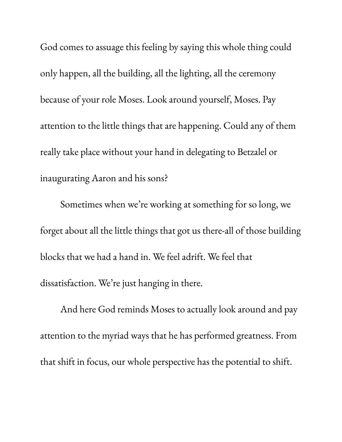God comes to assuage this feeling by saying this whole thing could only happen, all the building, all the lighting, all the ceremony because of your role Moses. Look around yourself, Moses. Pay attention to the little things that are happening. Could any of them really take place without your hand in delegating to Betzalel or inaugurating Aaron and his sons?

Sometimes when we 're working at something for so long, we forget about all the little things that got us there-all of those building blocks that we had a hand in. We feel adrift. We feel that dissatisfaction. We 're just hanging in there.

And here God reminds Moses to actually look around and pay attention to the myriad ways that he has performed greatness. From that shift in focus, our whole perspective has the potential to shift.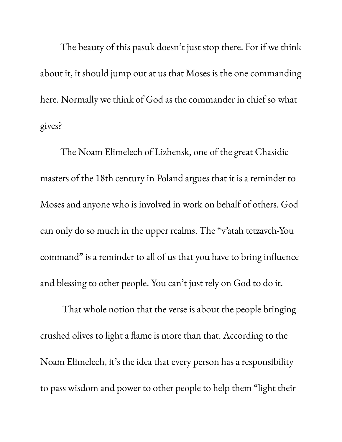The beauty of this pasuk doesn't just stop there. For if we think about it, it should jump out at us that Moses is the one commanding here. Normally we think of God as the commander in chief so what gives?

The Noam Elimelech of Lizhensk, one of the great Chasidic masters of the 18th century in Poland argues that it is a reminder to Moses and anyone who is involved in work on behalf of others. God can only do so much in the upper realms. The " v ' atah tetzaveh-You command" is a reminder to all of us that you have to bring influence and blessing to other people. You can't just rely on God to do it.

That whole notion that the verse is about the people bringing crushed olives to light a flame is more than that. According to the Noam Elimelech, it' s the idea that every person has a responsibility to pass wisdom and power to other people to help them "light their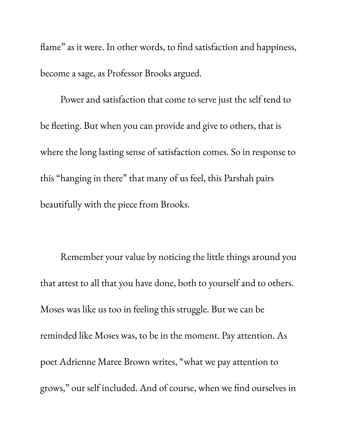flame " as it were. In other words, to find satisfaction and happiness, become a sage, as Professor Brooks argued.

Power and satisfaction that come to serve just the self tend to be fleeting. But when you can provide and give to others, that is where the long lasting sense of satisfaction comes. So in response to this "hanging in there " that many of us feel, this Parshah pairs beautifully with the piece from Brooks.

Remember your value by noticing the little things around you that attest to all that you have done, both to yourself and to others. Moses was like us too in feeling this struggle. But we can be reminded like Moses was, to be in the moment. Pay attention. As poet Adrienne Maree Brown writes, " what we pay attention to grows, " our self included. And of course, when we find ourselves in